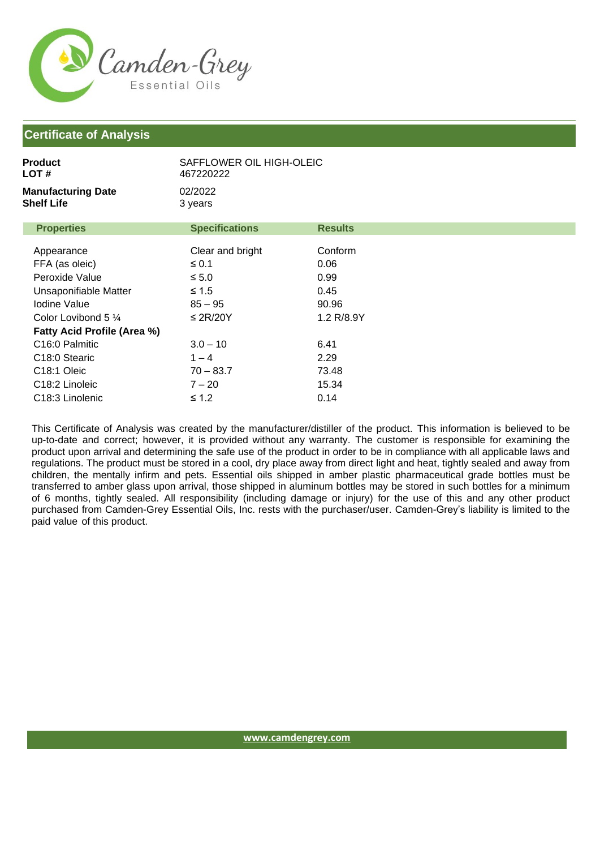

## **Certificate of Analysis**

| Product<br>LOT #                        | SAFFLOWER OIL HIGH-OLEIC<br>467220222 |                |
|-----------------------------------------|---------------------------------------|----------------|
| <b>Manufacturing Date</b><br>Shelf Life | 02/2022<br>3 years                    |                |
| <b>Properties</b>                       | <b>Specifications</b>                 | <b>Results</b> |
| Appearance                              | Clear and bright                      | Conform        |
| FFA (as oleic)                          | $\leq 0.1$                            | 0.06           |
| Peroxide Value                          | $\leq 5.0$                            | 0.99           |
| Unsaponifiable Matter                   | $\leq 1.5$                            | 0.45           |
| Iodine Value                            | $85 - 95$                             | 90.96          |
| Color Lovibond 5 $\frac{1}{4}$          | $\leq$ 2R/20Y                         | 1.2 R/8.9Y     |
| <b>Fatty Acid Profile (Area %)</b>      |                                       |                |
| C <sub>16:0</sub> Palmitic              | $3.0 - 10$                            | 6.41           |
| C <sub>18:0</sub> Stearic               | $1 - 4$                               | 2.29           |
| C <sub>18:1</sub> Oleic                 | $70 - 83.7$                           | 73.48          |
| C <sub>18:2</sub> Linoleic              | $7 - 20$                              | 15.34          |
| C <sub>18:3</sub> Linolenic             | ≤ 1.2                                 | 0.14           |

This Certificate of Analysis was created by the manufacturer/distiller of the product. This information is believed to be up-to-date and correct; however, it is provided without any warranty. The customer is responsible for examining the product upon arrival and determining the safe use of the product in order to be in compliance with all applicable laws and regulations. The product must be stored in a cool, dry place away from direct light and heat, tightly sealed and away from children, the mentally infirm and pets. Essential oils shipped in amber plastic pharmaceutical grade bottles must be transferred to amber glass upon arrival, those shipped in aluminum bottles may be stored in such bottles for a minimum of 6 months, tightly sealed. All responsibility (including damage or injury) for the use of this and any other product purchased from Camden-Grey Essential Oils, Inc. rests with the purchaser/user. Camden-Grey's liability is limited to the paid value of this product.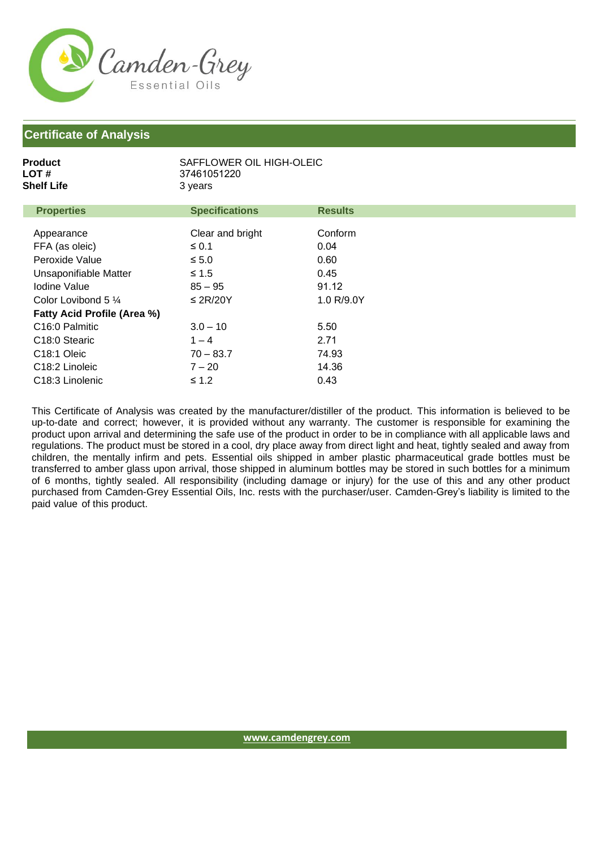

## **Certificate of Analysis**

| Product<br>LOT #<br>Shelf Life | 37461051220<br>3 years | SAFFLOWER OIL HIGH-OLEIC |  |  |
|--------------------------------|------------------------|--------------------------|--|--|
| <b>Properties</b>              | <b>Specifications</b>  | <b>Results</b>           |  |  |
| Appearance                     | Clear and bright       | Conform                  |  |  |

| FFA (as oleic)                     | $\leq 0.1$    | 0.04       |
|------------------------------------|---------------|------------|
| Peroxide Value                     | $\leq 5.0$    | 0.60       |
| Unsaponifiable Matter              | $\leq 1.5$    | 0.45       |
| Iodine Value                       | $85 - 95$     | 91.12      |
| Color Lovibond 5 $\frac{1}{4}$     | $\leq$ 2R/20Y | 1.0 R/9.0Y |
| <b>Fatty Acid Profile (Area %)</b> |               |            |
| C <sub>16</sub> :0 Palmitic        | $3.0 - 10$    | 5.50       |
| C <sub>18:0</sub> Stearic          | $1 - 4$       | 2.71       |
| C <sub>18:1</sub> Oleic            | $70 - 83.7$   | 74.93      |
| C <sub>18:2</sub> Linoleic         | $7 - 20$      | 14.36      |
| C <sub>18</sub> :3 Linolenic       | $\leq 1.2$    | 0.43       |

This Certificate of Analysis was created by the manufacturer/distiller of the product. This information is believed to be up-to-date and correct; however, it is provided without any warranty. The customer is responsible for examining the product upon arrival and determining the safe use of the product in order to be in compliance with all applicable laws and regulations. The product must be stored in a cool, dry place away from direct light and heat, tightly sealed and away from children, the mentally infirm and pets. Essential oils shipped in amber plastic pharmaceutical grade bottles must be transferred to amber glass upon arrival, those shipped in aluminum bottles may be stored in such bottles for a minimum of 6 months, tightly sealed. All responsibility (including damage or injury) for the use of this and any other product purchased from Camden-Grey Essential Oils, Inc. rests with the purchaser/user. Camden-Grey's liability is limited to the paid value of this product.